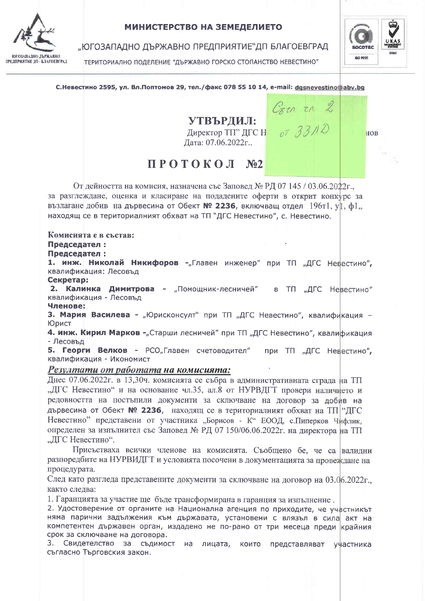

### МИНИСТЕРСТВО НА ЗЕМЕДЕЛИЕТО

"ЮГОЗАПАДНО ДЪРЖАВНО ПРЕДПРИЯТИЕ"ДП БЛАГОЕВГРАД

ТЕРИТОРИАЛНО ПОДЕЛЕНИЕ "ДЪРЖАВНО ГОРСКО СТОПАНСТВО НЕВЕСТИНО"



С. Невестино 2595, ул. Вл. Поптомов 29, тел. / факс 078 55 10 14, e-mail: dgsnevestino@abv.bg

# УТВЪРЛИЛ:

Директор ТП" ДГС Н Дата: 07.06.2022г..

| $\sim$ $\sim$ $\sim$ $\sim$ |  |  |
|-----------------------------|--|--|
| 073310                      |  |  |

 $C_{ZZ}$   $Z$ 

## HOB

## $\Pi$  POTOKO $\Pi$  No2

От дейността на комисия, назначена със Заповел № РЛ 07 145 / 03.06.2022г. за разглеждане, оценка и класиране на подадените оферти в открит конкурс за възлагане добив на дървесина от Обект № 2236, включващ отдел 196т1, у1, ф1, находящ се в териториалният обхват на ТП "ДГС Невестино", с. Невестино.

## Комисията е в състав:

### Председател:

### Председател:

1. инж. Николай Никифоров -"Главен инженер" при ТП "ДГС Невестино", квалификация: Лесовъд

### Секретар:

2. Калинка Димитрова - "Помощник-лесничей" в ТП "ДГС Невестино" квалификация - Лесовъд

#### Членове:

3. Мария Василева - "Юрисконсулт" при ТП "ДГС Невестино", квалификация -Юрист

4. инж. Кирил Марков - "Старши лесничей" при ТП "ДГС Невестино", квалификация - Лесовъд

Б. Георги Велков - РСО"Главен счетоводител" при ТП "ДГС Невестино", квалификация - Икономист

### Резултати от работата на комисията:

Днес 07.06.2022г. в 13,30ч. комисията се събра в административната сграда на ТП "ДГС Невестино" и на основание чл.35, ал.8 от НУРВДГТ провери наличието и редовността на постъпили документи за сключване на договор за добив на дървесина от Обект № 2236, находящ се в териториалният обхват на ТП "ДГС Невестино" представени от участника "Борисов - К" ЕООД, с. Пиперков Чифлик, определен за изпълнител със Заповед № РД 07 150/06.06.2022г. на директора на ТП "ДГС Невестино".

Присъстваха всички членове на комисията. Съобщено бе, че са валидни разпоредбите на НУРВИДГТ и условията посочени в документацията за провеждане на процедурата.

След като разгледа представените документи за сключване на договор на 03.06.2022г. както слелва:

1. Гаранцията за участие ще бъде трансформирана в гаранция за изпълнение.

2. Удостоверение от органите на Национална агенция по приходите, че участникът няма парични задължения към държавата, установени с влязъл в сила акт на компетентен държавен орган, издадено не по-рано от три месеца преди крайния срок за сключване на договора.

3. Свидетелство за съдимост на лицата, които представляват участника съгласно Търговския закон.